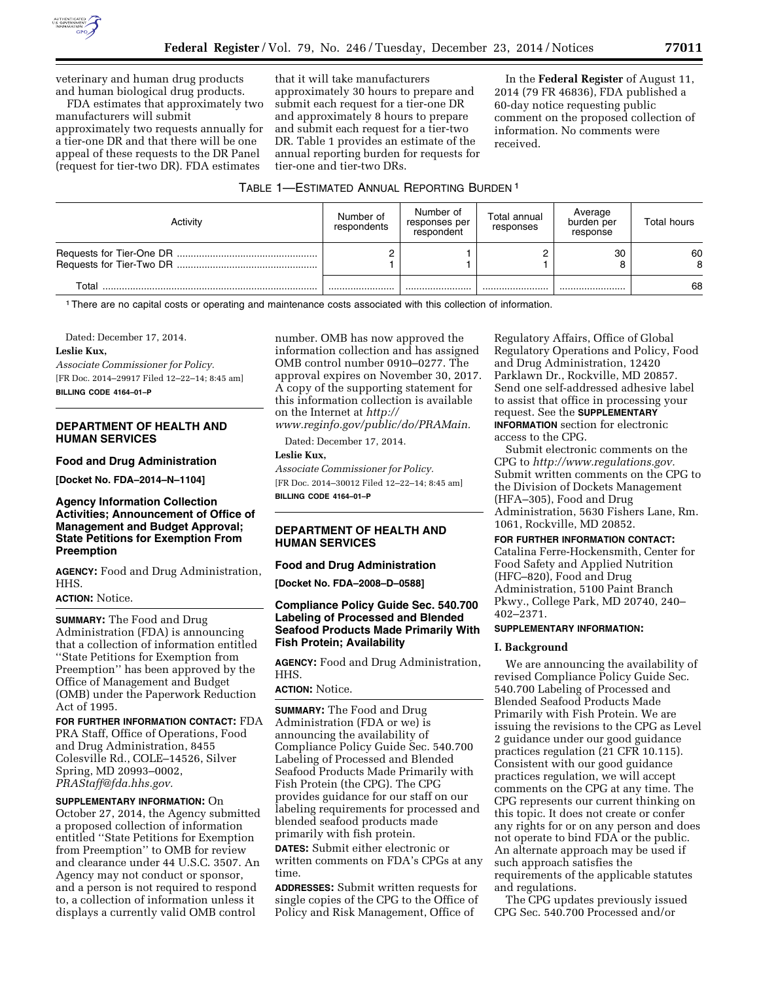

veterinary and human drug products and human biological drug products.

FDA estimates that approximately two manufacturers will submit approximately two requests annually for a tier-one DR and that there will be one appeal of these requests to the DR Panel (request for tier-two DR). FDA estimates

that it will take manufacturers approximately 30 hours to prepare and submit each request for a tier-one DR and approximately 8 hours to prepare and submit each request for a tier-two DR. Table 1 provides an estimate of the annual reporting burden for requests for tier-one and tier-two DRs.

In the **Federal Register** of August 11, 2014 (79 FR 46836), FDA published a 60-day notice requesting public comment on the proposed collection of information. No comments were received.

# TABLE 1—ESTIMATED ANNUAL REPORTING BURDEN 1

| Activity | Number of<br>respondents | Number of<br>responses per<br>respondent | Total annual<br>responses | Average<br>burden per<br>response | Total hours |
|----------|--------------------------|------------------------------------------|---------------------------|-----------------------------------|-------------|
|          |                          |                                          |                           | 30                                | 60<br>8     |
| Total    |                          |                                          |                           |                                   | 68          |

1There are no capital costs or operating and maintenance costs associated with this collection of information.

Dated: December 17, 2014.

# **Leslie Kux,**

*Associate Commissioner for Policy.*  [FR Doc. 2014–29917 Filed 12–22–14; 8:45 am] **BILLING CODE 4164–01–P** 

## **DEPARTMENT OF HEALTH AND HUMAN SERVICES**

## **Food and Drug Administration**

**[Docket No. FDA–2014–N–1104]** 

## **Agency Information Collection Activities; Announcement of Office of Management and Budget Approval; State Petitions for Exemption From Preemption**

**AGENCY:** Food and Drug Administration, HHS.

#### **ACTION:** Notice.

**SUMMARY:** The Food and Drug Administration (FDA) is announcing that a collection of information entitled ''State Petitions for Exemption from Preemption'' has been approved by the Office of Management and Budget (OMB) under the Paperwork Reduction Act of 1995.

**FOR FURTHER INFORMATION CONTACT:** FDA PRA Staff, Office of Operations, Food and Drug Administration, 8455 Colesville Rd., COLE–14526, Silver Spring, MD 20993–0002, *[PRAStaff@fda.hhs.gov.](mailto:PRAStaff@fda.hhs.gov)* 

**SUPPLEMENTARY INFORMATION:** On October 27, 2014, the Agency submitted a proposed collection of information entitled ''State Petitions for Exemption from Preemption'' to OMB for review and clearance under 44 U.S.C. 3507. An Agency may not conduct or sponsor, and a person is not required to respond to, a collection of information unless it displays a currently valid OMB control

number. OMB has now approved the information collection and has assigned OMB control number 0910–0277. The approval expires on November 30, 2017. A copy of the supporting statement for this information collection is available on the Internet at *[http://](http://www.reginfo.gov/public/do/PRAMain)  [www.reginfo.gov/public/do/PRAMain.](http://www.reginfo.gov/public/do/PRAMain)* 

Dated: December 17, 2014.

## **Leslie Kux,**

*Associate Commissioner for Policy.*  [FR Doc. 2014–30012 Filed 12–22–14; 8:45 am] **BILLING CODE 4164–01–P** 

# **DEPARTMENT OF HEALTH AND HUMAN SERVICES**

## **Food and Drug Administration**

**[Docket No. FDA–2008–D–0588]** 

# **Compliance Policy Guide Sec. 540.700 Labeling of Processed and Blended Seafood Products Made Primarily With Fish Protein; Availability**

**AGENCY:** Food and Drug Administration, HHS.

# **ACTION:** Notice.

**SUMMARY:** The Food and Drug Administration (FDA or we) is announcing the availability of Compliance Policy Guide Sec. 540.700 Labeling of Processed and Blended Seafood Products Made Primarily with Fish Protein (the CPG). The CPG provides guidance for our staff on our labeling requirements for processed and blended seafood products made primarily with fish protein.

**DATES:** Submit either electronic or written comments on FDA's CPGs at any time.

**ADDRESSES:** Submit written requests for single copies of the CPG to the Office of Policy and Risk Management, Office of

Regulatory Affairs, Office of Global Regulatory Operations and Policy, Food and Drug Administration, 12420 Parklawn Dr., Rockville, MD 20857. Send one self-addressed adhesive label to assist that office in processing your request. See the **SUPPLEMENTARY INFORMATION** section for electronic access to the CPG.

Submit electronic comments on the CPG to *[http://www.regulations.gov.](http://www.regulations.gov)*  Submit written comments on the CPG to the Division of Dockets Management (HFA–305), Food and Drug Administration, 5630 Fishers Lane, Rm. 1061, Rockville, MD 20852.

## **FOR FURTHER INFORMATION CONTACT:**

Catalina Ferre-Hockensmith, Center for Food Safety and Applied Nutrition (HFC–820), Food and Drug Administration, 5100 Paint Branch Pkwy., College Park, MD 20740, 240– 402–2371.

## **SUPPLEMENTARY INFORMATION:**

## **I. Background**

We are announcing the availability of revised Compliance Policy Guide Sec. 540.700 Labeling of Processed and Blended Seafood Products Made Primarily with Fish Protein. We are issuing the revisions to the CPG as Level 2 guidance under our good guidance practices regulation (21 CFR 10.115). Consistent with our good guidance practices regulation, we will accept comments on the CPG at any time. The CPG represents our current thinking on this topic. It does not create or confer any rights for or on any person and does not operate to bind FDA or the public. An alternate approach may be used if such approach satisfies the requirements of the applicable statutes and regulations.

The CPG updates previously issued CPG Sec. 540.700 Processed and/or